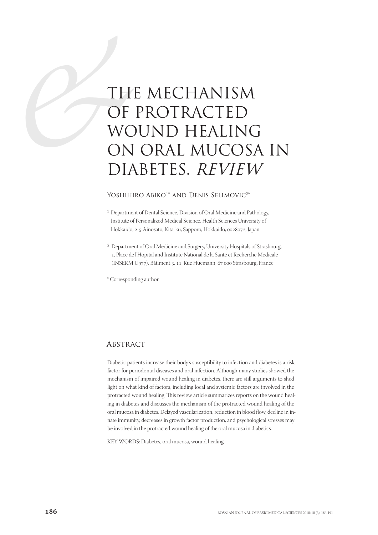# TH OF WC<br>OF WC<br>ON<br>DIA THE MECHANISM OF PROTRACTED WOUND HEALING ON ORAL MUCOSA IN DIABETES. REVIEW

## Yoshihiro Abiko<sup>1\*</sup> and Denis Selimovic<sup>2\*</sup>

- 1 Department of Dental Science, Division of Oral Medicine and Pathology, Institute of Personalized Medical Science, Health Sciences University of Hokkaido, 2-5 Ainosato, Kita-ku, Sapporo, Hokkaido, 0028072, Japan
- 2 Department of Oral Medicine and Surgery, University Hospitals of Strasbourg, , Place de l'Hopital and Institute National de la Santé et Recherche Medicale (INSERM U977), Bâtiment 3, 11, Rue Huemann, 67 000 Strasbourg, France

\* Corresponding author

# **ABSTRACT**

Diabetic patients increase their body's susceptibility to infection and diabetes is a risk factor for periodontal diseases and oral infection. Although many studies showed the mechanism of impaired wound healing in diabetes, there are still arguments to shed light on what kind of factors, including local and systemic factors are involved in the protracted wound healing. This review article summarizes reports on the wound healing in diabetes and discusses the mechanism of the protracted wound healing of the oral mucosa in diabetes. Delayed vascularization, reduction in blood flow, decline in innate immunity, decreases in growth factor production, and psychological stresses may be involved in the protracted wound healing of the oral mucosa in diabetics.

KEY WORDS: Diabetes, oral mucosa, wound healing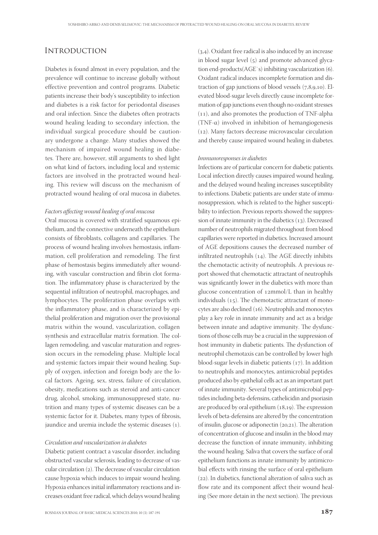## **INTRODUCTION**

Diabetes is found almost in every population, and the prevalence will continue to increase globally without effective prevention and control programs. Diabetic patients increase their body's susceptibility to infection and diabetes is a risk factor for periodontal diseases and oral infection. Since the diabetes often protracts wound healing leading to secondary infection, the individual surgical procedure should be cautionary undergone a change. Many studies showed the mechanism of impaired wound healing in diabetes. There are, however, still arguments to shed light on what kind of factors, including local and systemic factors are involved in the protracted wound healing. This review will discuss on the mechanism of protracted wound healing of oral mucosa in diabetes.

#### Factors affecting wound healing of oral mucosa

Oral mucosa is covered with stratified squamous epithelium, and the connective underneath the epithelium consists of fibroblasts, collagens and capillaries. The process of wound healing involves hemostasis, inflammation, cell proliferation and remodeling. The first phase of hemostasis begins immediately after wounding, with vascular construction and fibrin clot formation. The inflammatory phase is characterized by the sequential infiltration of neutrophil, macrophages, and lymphocytes. The proliferation phase overlaps with the inflammatory phase, and is characterized by epithelial proliferation and migration over the provisional matrix within the wound, vascularization, collagen synthesis and extracellular matrix formation. The collagen remodeling, and vascular maturation and regression occurs in the remodeling phase. Multiple local and systemic factors impair their wound healing. Supply of oxygen, infection and foreign body are the local factors. Ageing, sex, stress, failure of circulation, obesity, medications such as steroid and anti-cancer drug, alcohol, smoking, immunosuppresed state, nutrition and many types of systemic diseases can be a systemic factor for it. Diabetes, many types of fibrosis, jaundice and uremia include the systemic diseases (1).

#### Circulation and vascularization in diabetes

Diabetic patient contract a vascular disorder, including obstructed vascular sclerosis, leading to decrease of vascular circulation  $(2)$ . The decrease of vascular circulation cause hypoxia which induces to impair wound healing. Hypoxia enhances initial inflammatory reactions and increases oxidant free radical, which delays wound healing

 $(3,4)$ . Oxidant free radical is also induced by an increase in blood sugar level  $(5)$  and promote advanced glycation end-products(AGE`s) inhibiting vascularization (6). Oxidant radical induces incomplete formation and distraction of gap junctions of blood vessels  $(7,8,9,10)$ . Elevated blood-sugar levels directly cause incomplete formation of gap junctions even though no oxidant stresses  $(11)$ , and also promotes the production of TNF-alpha (TNF- $\alpha$ ) involved in inhibition of hemangiogenesis  $(12)$ . Many factors decrease microvascular circulation and thereby cause impaired wound healing in diabetes.

#### Immunoresponses in diabetes

Infections are of particular concern for diabetic patients. Local infection directly causes impaired wound healing, and the delayed wound healing increases susceptibility to infections. Diabetic patients are under state of immunosuppression, which is related to the higher susceptibility to infection. Previous reports showed the suppression of innate immunity in the diabetics  $(13)$ . Decreased number of neutrophils migrated throughout from blood capillaries were reported in diabetics. Increased amount of AGE depositions causes the decreased number of infiltrated neutrophils  $(14)$ . The AGE directly inhibits the chemotactic activity of neutrophils. A previous report showed that chemotactic attractant of neutrophils was significantly lower in the diabetics with more than glucose concentration of  $12mmol/L$  than in healthy individuals  $(15)$ . The chemotactic attractant of monocytes are also declined (16). Neutrophils and monocytes play a key role in innate immunity and act as a bridge between innate and adaptive immunity. The dysfunctions of those cells may be a crucial in the suppression of host immunity in diabetic patients. The dysfunction of neutrophil chemotaxis can be controlled by lower high blood-sugar levels in diabetic patients  $(17)$ . In addition to neutrophils and monocytes, antimicrobial peptides produced also by epithelial cells act as an important part of innate immunity. Several types of antimicrobial peptides including beta-defensins, cathelicidin and psoriasin are produced by oral epithelium  $(18,19)$ . The expression levels of beta-defensins are altered by the concentration of insulin, glucose or adiponectin  $(20,21)$ . The alteration of concentration of glucose and insulin in the blood may decrease the function of innate immunity, inhibiting the wound healing. Saliva that covers the surface of oral epithelium functions as innate immunity by antimicrobial effects with rinsing the surface of oral epithelium  $(22)$ . In diabetics, functional alteration of saliva such as flow rate and its component affect their wound healing (See more detain in the next section). The previous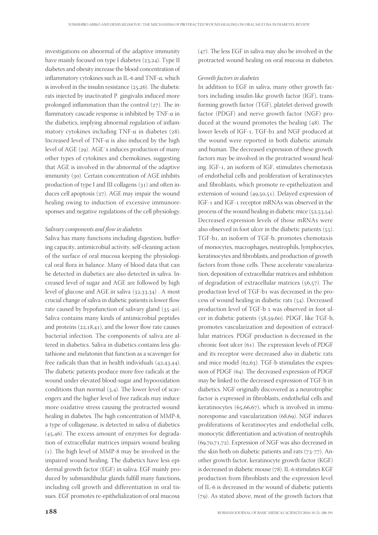investigations on abnormal of the adaptive immunity have mainly focused on type I diabetes  $(23,24)$ . Type II diabetes and obesity increase the blood concentration of inflammatory cytokines such as IL-6 and TNF- $\alpha$ , which is involved in the insulin resistance  $(25,26)$ . The diabetic rats injected by inactivated P. gingivalis induced more prolonged inflammation than the control  $(27)$ . The inflammatory cascade response is inhibited by TNF- $\alpha$  in the diabetics, implying abnormal regulation of inflammatory cytokines including TNF- $\alpha$  in diabetes (28). Increased level of TNF-α is also induced by the high level of AGE (29). AGE`s induces production of many other types of cytokines and chemokines, suggesting that AGE is involved in the abnormal of the adaptive immunity  $(30)$ . Certain concentration of AGE inhibits production of type I and III collagens  $(31)$  and often induces cell apoptosis  $(27)$ . AGE may impair the wound healing owing to induction of excessive immunoresponses and negative regulations of the cell physiology.

#### Salivary components and flow in diabetes

Saliva has many functions including digestion, buffering capacity, antimicrobial activity, self-cleaning action of the surface of oral mucosa keeping the physiological oral flora in balance. Many of blood data that can be detected in diabetics are also detected in saliva. Increased level of sugar and AGE are followed by high level of glucose and AGE in saliva  $(32,33,34)$ . A most crucial change of saliva in diabetic patients is lower flow rate caused by hypofunction of salivary gland  $(35-40)$ . Saliva contains many kinds of antimicrobial peptides and proteins  $(22,18,41)$ , and the lower flow rate causes bacterial infection. The components of saliva are altered in diabetics. Saliva in diabetics contains less glutathione and melatonin that function as a scavenger for free radicals than that in health individuals  $(42,43,44)$ . The diabetic patients produce more free radicals at the wound under elevated blood-sugar and hypooxidation conditions than normal  $(3,4)$ . The lower level of scavengers and the higher level of free radicals may induce more oxidative stress causing the protracted wound healing in diabetes. The high concentration of MMP-8, a type of collagenase, is detected in saliva of diabetics  $(45,46)$ . The excess amount of enzymes for degradation of extracellular matrices impairs wound healing  $(1)$ . The high level of MMP-8 may be involved in the impaired wound healing. The diabetics have less epidermal growth factor (EGF) in saliva. EGF mainly produced by submandibular glands fulfill many functions, including cell growth and differentiation in oral tissues. EGF promotes re-epithelialization of oral mucosa

 $(47)$ . The less EGF in saliva may also be involved in the protracted wound healing on oral mucosa in diabetes.

#### Growth factors in diabetes

In addition to EGF in saliva, many other growth factors including insulin-like growth factor (IGF), transforming growth factor (TGF), platelet-derived growth factor (PDGF) and nerve growth factor (NGF) produced at the wound promotes the healing  $(48)$ . The lower levels of IGF-1, TGF-b1 and NGF produced at the wound were reported in both diabetic animals and human. The decreased expression of these growth factors may be involved in the protracted wound healing. IGF-1, an isoform of IGF, stimulates chemotaxis of endothelial cells and proliferation of keratinocytes and fibroblasts, which promote re-epithelization and extension of wound (49,50,51). Delayed expression of IGF-1 and IGF-1 receptor mRNAs was observed in the process of the wound healing in diabetic mice  $(52,53.54).$ Decreased expression levels of those mRNAs were also observed in foot ulcer in the diabetic patients  $(55)$ . TGF-b, an isoform of TGF-b, promotes chemotaxis of monocytes, macrophages, neutrophils, lymphocytes, keratinocytes and fibroblasts, and production of growth factors from those cells. These accelerate vascularization, deposition of extracellular matrices and inhibition of degradation of extracellular matrices  $(56,57)$ . The production level of TGF-b1 was decreased in the process of wound healing in diabetic rats  $(54)$ . Decreased production level of TGF-b 1 was observed in foot ulcer in diabetic patients (58,59,60). PDGF, like TGF-b, promotes vascularization and deposition of extracellular matrices. PDGF production is decreased in the chronic foot ulcer  $(61)$ . The expression levels of PDGF and its receptor were decreased also in diabetic rats and mice model  $(62, 63)$ . TGF-b stimulates the expression of PDGF (64). The decreased expression of PDGF may be linked to the decreased expression of TGF-b in diabetics. NGF originally discovered as a neurotrophic factor is expressed in fibroblasts, endothelial cells and keratinocytes  $(65,66,67)$ , which is involved in immunoresponse and vascularization (68,69). NGF induces proliferations of keratinocytes and endothelial cells, monocytic differentiation and activation of neutrophils  $(69,70,71,72)$ . Expression of NGF was also decreased in the skin both on diabetic patients and rats  $(73-77)$ . Another growth factor, keratinocyte growth factor (KGF) is decreased in diabetic mouse (78). IL-6 stimulates KGF production from fibroblasts and the expression level of IL-6 is decreased in the wound of diabetic patients (79). As stated above, most of the growth factors that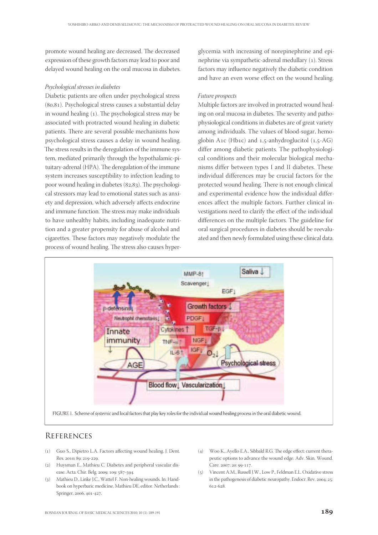promote wound healing are decreased. The decreased expression of these growth factors may lead to poor and delayed wound healing on the oral mucosa in diabetes.

#### Psychological stresses in diabetes

Diabetic patients are often under psychological stress  $(80, 81)$ . Psychological stress causes a substantial delay in wound healing  $(1)$ . The psychological stress may be associated with protracted wound healing in diabetic patients. There are several possible mechanisms how psychological stress causes a delay in wound healing. The stress results in the deregulation of the immune system, mediated primarily through the hypothalamic-pituitary-adrenal (HPA). The deregulation of the immune system increases susceptibility to infection leading to poor wound healing in diabetes (82,83). The psychological stressors may lead to emotional states such as anxiety and depression, which adversely affects endocrine and immune function. The stress may make individuals to have unhealthy habits, including inadequate nutrition and a greater propensity for abuse of alcohol and cigarettes. These factors may negatively modulate the process of wound healing. The stress also causes hyperglycemia with increasing of norepinephrine and epinephrine via sympathetic-adrenal medullary (1). Stress factors may influence negatively the diabetic condition and have an even worse effect on the wound healing.

#### Future prospects

Multiple factors are involved in protracted wound healing on oral mucosa in diabetes. The severity and pathophysiological conditions in diabetes are of great variety among individuals. The values of blood-sugar, hemoglobin A1c (Hb1c) and  $1,5$ -anhydroglucitol  $(1,5-A)$ differ among diabetic patients. The pathophysiological conditions and their molecular biological mechanisms differ between types I and II diabetes. These individual differences may be crucial factors for the protected wound healing. There is not enough clinical and experimental evidence how the individual differences affect the multiple factors. Further clinical investigations need to clarify the effect of the individual differences on the multiple factors. The guideline for oral surgical procedures in diabetes should be reevaluated and then newly formulated using these clinical data.



## **REFERENCES**

- (1) Guo S., Dipietro L.A. Factors affecting wound healing. J. Dent. Res. 2010: 89: 219-229
- (2) Huysman E., Mathieu C. Diabetes and peripheral vascular disease. Acta. Chir. Belg. 2009; 109: 587-594.
- () Mathieu D., Linke J.C., Wattel F. Non-healing wounds. In: Handbook on hyperbaric medicine, Mathieu DE, editor. Netherlands : Springer, 2006, 401-427.
- $(4)$  Woo K., Ayello E.A., Sibbald R.G. The edge effect: current therapeutic options to advance the wound edge. Adv. Skin. Wound. Care. 2007: 20: 99-117.
- () Vincent A.M., Russell J.W., Low P., Feldman E.L. Oxidative stress in the pathogenesis of diabetic neuropathy. Endocr. Rev. 2004; 25: 612-628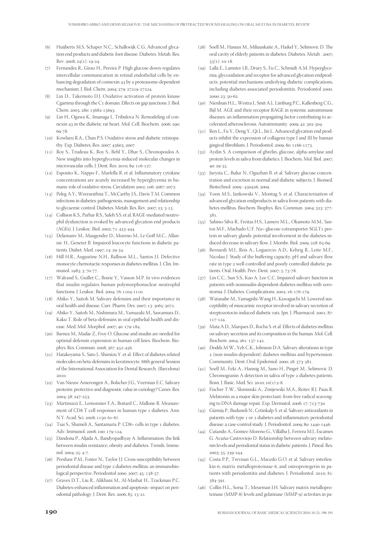- (6) Huijberts M.S, Schaper N.C., Schalkwijk C.G. Advanced glycation end products and diabetic foot disease. Diabetes. Metab. Res. Rev. 2008;  $24(1)$ : 19-24.
- () Fernandes R., Girao H., Pereira P. High glucose down-regulates intercellular communication in retinal endothelial cells by enhancing degradation of connexin 43 by a proteasome-dependent mechanism. J. Biol. Chem. 2004; 279: 27219-27224.
- Lin D., Takemoto D.J. Oxidative activation of protein kinase Cgamma through the C1 domain. Effects on gap junctions. J. Biol. Chem. 2005; 280: 13682-13693.
- () Lin H., Ogawa K., Imanaga I., Tribulova N. Remodeling of connexin 43 in the diabetic rat heart. Mol. Cell. Biochem. 2006; 290: 69-78
- () Kowluru R.A., Chan P.S. Oxidative stress and diabetic retinopathy. Exp. Diabetes. Res. 2007: 43603, 2007.
- () Roy S., Trudeau K., Roy S., Behl Y., Dhar S., Chronopoulos A. New insights into hyperglycemia-induced molecular changes in microvascular cells. J. Dent. Res. 2010; 89: 116-127.
- $(12)$  Esposito K., Nappo F., Marfella R. et al. Inflammatory cytokine concentrations are acutely increased by hyperglycemia in humans: role of oxidative stress. Circulation 2002; 106: 2067-2072.
- () Peleg A.Y., Weerarathna T., McCarthy J.S., Davis T.M. Common infections in diabetes: pathogenesis, management and relationship to glycaemic control. Diabetes. Metab. Res. Rev. 2007; 23: 3-13.
- () Collison K.S., Parhar R.S., Saleh S.S. et al. RAGE-mediated neutrophil dysfunction is evoked by advanced glycation end products (AGEs). J. Leukoc. Biol. 2002; 71: 433-444.
- () Delamaire M., Maugendre D., Moreno M., Le Goff M.C., Allannic H., Genetet B. Impaired leucocyte functions in diabetic patients. Diabet. Med. 1997; 14: 29-34.
- () Hill H.R., Augustine N.H., Rallison M.L., Santos J.I. Defective monocyte chemotactic responses in diabetes mellitus. J. Clin. Immunol. 1983: 3: 70-77.
- () Walrand S., Guillet C., Boirie Y., Vasson M.P. In vivo evidences that insulin regulates human polymorphonuclear neutrophil functions. J. Leukoc. Biol. 2004; 76: 1104-1110.
- () Abiko Y., Saitoh M. Salivary defensins and their importance in oral health and disease. Curr. Pharm. Des. 2007; 13: 3065-3072.
- () Abiko Y., Saitoh M., Nishimura M., Yamazaki M., Sawamura D., Kaku T. Role of beta-defensins in oral epithelial health and disease. Med. Mol. Morphol. 2007; 40: 179-184.
- (20) Barnea M., Madar Z., Froy O. Glucose and insulin are needed for optimal defensin expression in human cell lines. Biochem. Biophys. Res. Commun. 2008; 367: 452-456.
- (21) Hatakeyama S., Sato J., Shimizu Y. et al. Effect of diabetes related molecules on beta-defensins in keratinocyte. 88th general Session of the International Association for Dental Research. (Barcelona) 2010
- (22) Van Nieuw Amerongen A., Bolscher J.G., Veerman E.C. Salivary proteins: protective and diagnostic value in cariology? Caries. Res. 2004; 38: 247-253.
- (23) Martinuzzi E., Lemonnier F.A., Boitard C., Mallone R. Measurement of CD8 T cell responses in human type 1 diabetes. Ann. N.Y. Acad. Sci. 2008; 1150: 61-67.
- $(24)$  Tsai S., Shameli A., Santamaria P. CD8+ cells in type 1 diabetes. Adv. Immunol. 2008; 100: 179-124.
- (25) Dandona P., Aljada A., Bandyopadhyay A. Inflammation: the link between insulin resistance, obesity and diabetes. Trends. Immunol. 2004; 25: 4-7.
- (26) Preshaw P.M., Foster N., Taylor J.J. Cross-susceptibility between periodontal disease and type 2 diabetes mellitus: an immunobiological perspective. Periodontol 2000. 2007; 45: 138-57.
- (27) Graves D.T., Liu R., Alikhani M., Al-Mashat H., Trackman P.C. Diabetes-enhanced inflammation and apoptosis--impact on periodontal pathology. J. Dent. Res. 2006; 85: 15-21.
- (28) Soell M., Hassan M., Miliauskaite A., Haikel Y., Selimovic D. The oral cavity of elderly patients in diabetes. Diabetes. Metab . 2007;  $33(1): 10-18.$
- (29) Lalla E., Lamster I.B., Drury S., Fu C., Schmidt A.M. Hyperglycemia, glycoxidation and receptor for advanced glycation endproducts: potential mechanisms underlying diabetic complications, including diabetes-associated periodontitis. Periodontol 2000.  $2000: 23: 50-62.$
- () Nienhuis H.L., Westra J., Smit A.J., Limburg P.C., Kallenberg C.G., Bijl M. AGE and their receptor RAGE in systemic autoimmune diseases: an inflammation propagating factor contributing to accelerated atherosclerosis. Autoimmunity. 2009; 42: 302-304.
- (31) Ren L., Fu Y., Deng Y., Qi L., Jin L. Advanced glycation end products inhibit the expression of collagens type I and III by human gingival fibroblasts. J. Periodontol. 2009; 80: 1166-1173.
- (32) Aydin S. A comparison of ghrelin, glucose, alpha-amylase and protein levels in saliva from diabetics. J. Biochem. Mol. Biol. 2007;  $40: 29 - 35$
- (33) Jurysta C., Bulur N., Oguzhan B. et al. Salivary glucose concentration and excretion in normal and diabetic subjects. J. Biomed. Biotechnol. 2009 : 430426, 2009.
- (34) Yoon M.S., Jankowski V., Montag S. et al. Characterisation of advanced glycation endproducts in saliva from patients with diabetes mellitus. Biochem. Biophys. Res. Commun. 2004; 323: 377-381.
- () Sabino-Silva R., Freitas H.S., Lamers M.L., Okamoto M.M., Santos M.F., Machado U.F. Na+-glucose cotransporter SGLT1 protein in salivary glands: potential involvement in the diabetes-induced decrease in salivary flow. J. Membr. Biol. 2009; 228: 63-69.
- () Bernardi M.J., Reis A., Loguercio A.D., Kehrig R., Leite M.F., Nicolau J. Study of the buffering capacity, pH and salivary flow rate in type 2 well-controlled and poorly controlled diabetic patients. Oral. Health. Prev. Dent. 2007; 5: 73-78.
- (37) Lin C.C., Sun S.S., Kao A. Lee C.C. Impaired salivary function in patients with noninsulin-dependent diabetes mellitus with xerostomia. J. Diabetes. Complications. 2002; 16: 176-179.
- (38) Watanabe M., Yamagishi-Wang H., Kawaguchi M. Lowered susceptibility of muscarinic receptor involved in salivary secretion of streptozotocin-induced diabetic rats. Jpn. J. Pharmacol. 2001; 87: 117-124.
- (39) Mata A.D., Marques D., Rocha S. et al. Effects of diabetes mellitus on salivary secretion and its composition in the human. Mol. Cell. Biochem. 2004: 261: 137-142.
- (40) Dodds M.W., Yeh C.K., Johnson D.A. Salivary alterations in type (non-insulin-dependent) diabetes mellitus and hypertension. Community. Dent. Oral. Epidemiol. 2000; 28: 373-381.
- (41) Soell M., Feki A., Hannig M., Sano H., Pinget M., Selimovic D. Chromogranin A detection in saliva of type 2 diabetes patients. Bosn. J. Basic. Med. Sci. 2010: 10(1):2-8.
- () Fischer T.W., Slominski A., Zmijewski M.A., Reiter R.J. Paus R. Melatonin as a major skin protectant: from free radical scavenging to DNA damage repair. Exp. Dermatol.  $2008$ ;  $17:713-730$ .
- (43) Gümüş P., Buduneli N., Cetinkalp S. et al. Salivary antioxidants in patients with type 1 or 2 diabetes and inflammatory periodontal disease: a case-control study. J. Periodontol. 2009; 80: 1440-1446.
- (44) Cutando A., Gómez-Moreno G., Villalba J., Ferrera M.J., Escames G. Acuña-Castroviejo D. Relationship between salivary melatonin levels and periodontal status in diabetic patients. J. Pineal. Res. 2003; 35: 239-244.
- (45) Costa P.P., Trevisan G.L., Macedo G.O. et al. Salivary interleukin-6, matrix metalloproteinase-8, and osteoprotegerin in patients with periodontitis and diabetes. J. Periodontol. 2010; 81: 384-391
- (46) Collin H.L., Sorsa T., Meurman J.H. Salivary matrix metalloproteinase (MMP-8) levels and gelatinase (MMP-9) activities in pa-